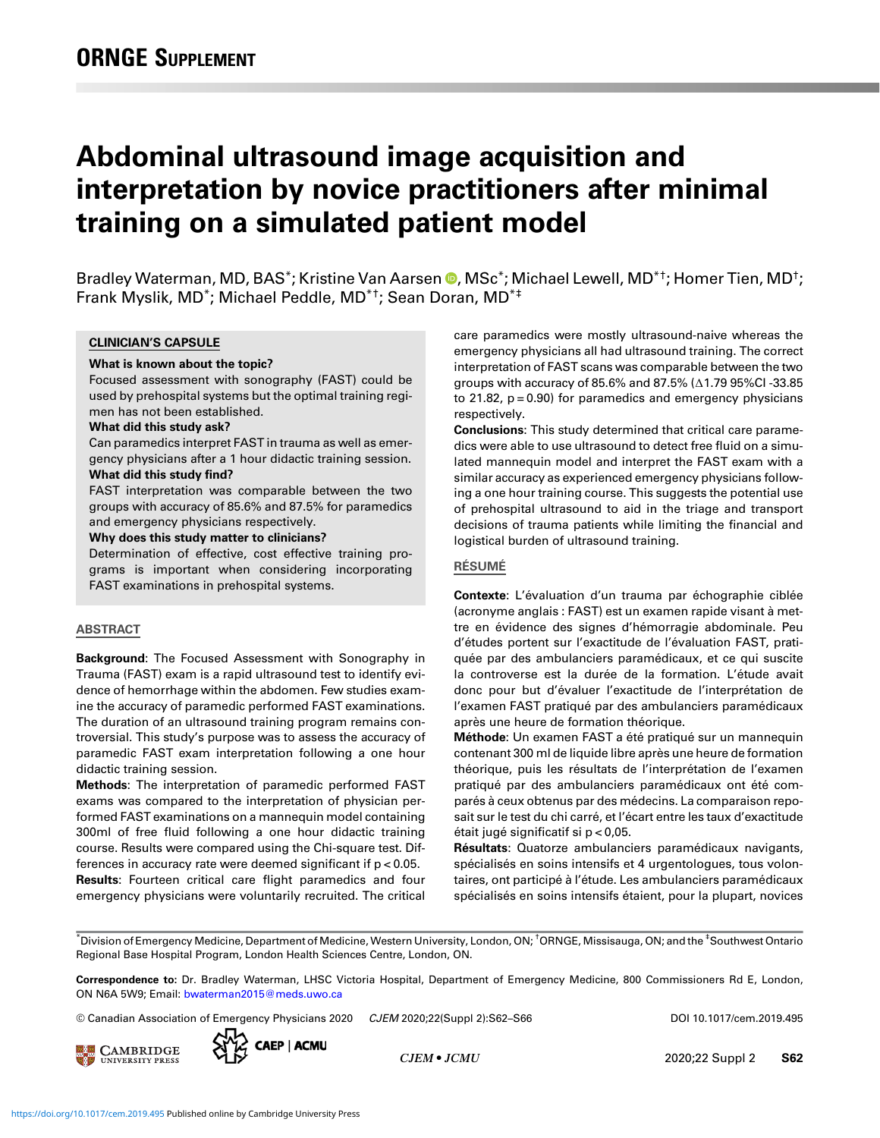# Abdominal ultrasound image acquisition and interpretation by novice practitioners after minimal training on a simulated patient model

Bradley Waterman, MD, BAS<sup>\*</sup>; Kristine Van Aarsen <sup>®</sup>, MSc<sup>\*</sup>; Michael Lewell, MD<sup>\*†</sup>; Homer Tien, MD<sup>†</sup>; Frank Myslik, MD\*; Michael Peddle, MD\*†; Sean Doran, MD\*‡

## CLINICIAN'S CAPSULE

## What is known about the topic?

Focused assessment with sonography (FAST) could be used by prehospital systems but the optimal training regimen has not been established.

## What did this study ask?

Can paramedics interpret FAST in trauma as well as emergency physicians after a 1 hour didactic training session. What did this study find?

FAST interpretation was comparable between the two groups with accuracy of 85.6% and 87.5% for paramedics and emergency physicians respectively.

#### Why does this study matter to clinicians?

Determination of effective, cost effective training programs is important when considering incorporating FAST examinations in prehospital systems.

#### ABSTRACT

**Background:** The Focused Assessment with Sonography in Trauma (FAST) exam is a rapid ultrasound test to identify evidence of hemorrhage within the abdomen. Few studies examine the accuracy of paramedic performed FAST examinations. The duration of an ultrasound training program remains controversial. This study's purpose was to assess the accuracy of paramedic FAST exam interpretation following a one hour didactic training session.

Methods: The interpretation of paramedic performed FAST exams was compared to the interpretation of physician performed FAST examinations on a mannequin model containing 300ml of free fluid following a one hour didactic training course. Results were compared using the Chi-square test. Differences in accuracy rate were deemed significant if p < 0.05.

Results: Fourteen critical care flight paramedics and four emergency physicians were voluntarily recruited. The critical care paramedics were mostly ultrasound-naive whereas the emergency physicians all had ultrasound training. The correct interpretation of FAST scans was comparable between the two groups with accuracy of 85.6% and 87.5% (Δ1.79 95%CI -33.85 to 21.82,  $p = 0.90$  for paramedics and emergency physicians respectively.

Conclusions: This study determined that critical care paramedics were able to use ultrasound to detect free fluid on a simulated mannequin model and interpret the FAST exam with a similar accuracy as experienced emergency physicians following a one hour training course. This suggests the potential use of prehospital ultrasound to aid in the triage and transport decisions of trauma patients while limiting the financial and logistical burden of ultrasound training.

#### RÉSUMÉ

Contexte: L'évaluation d'un trauma par échographie ciblée (acronyme anglais : FAST) est un examen rapide visant à mettre en évidence des signes d'hémorragie abdominale. Peu d'études portent sur l'exactitude de l'évaluation FAST, pratiquée par des ambulanciers paramédicaux, et ce qui suscite la controverse est la durée de la formation. L'étude avait donc pour but d'évaluer l'exactitude de l'interprétation de l'examen FAST pratiqué par des ambulanciers paramédicaux après une heure de formation théorique.

Méthode: Un examen FAST a été pratiqué sur un mannequin contenant 300 ml de liquide libre après une heure de formation théorique, puis les résultats de l'interprétation de l'examen pratiqué par des ambulanciers paramédicaux ont été comparés à ceux obtenus par des médecins. La comparaison reposait sur le test du chi carré, et l'écart entre les taux d'exactitude était jugé significatif si p < 0,05.

Résultats: Quatorze ambulanciers paramédicaux navigants, spécialisés en soins intensifs et 4 urgentologues, tous volontaires, ont participé à l'étude. Les ambulanciers paramédicaux spécialisés en soins intensifs étaient, pour la plupart, novices

\* Division of Emergency Medicine, Department of Medicine, Western University, London, ON; † ORNGE, Missisauga, ON; and the ‡ Southwest Ontario Regional Base Hospital Program, London Health Sciences Centre, London, ON.

Correspondence to: Dr. Bradley Waterman, LHSC Victoria Hospital, Department of Emergency Medicine, 800 Commissioners Rd E, London, ON N6A 5W9; Email: [bwaterman2015@meds.uwo.ca](mailto:bwaterman2015@meds.uwo.ca)

© Canadian Association of Emergency Physicians 2020 CJEM 2020;22(Suppl 2):S62-S66 DOI 10.1017/cem.2019.495



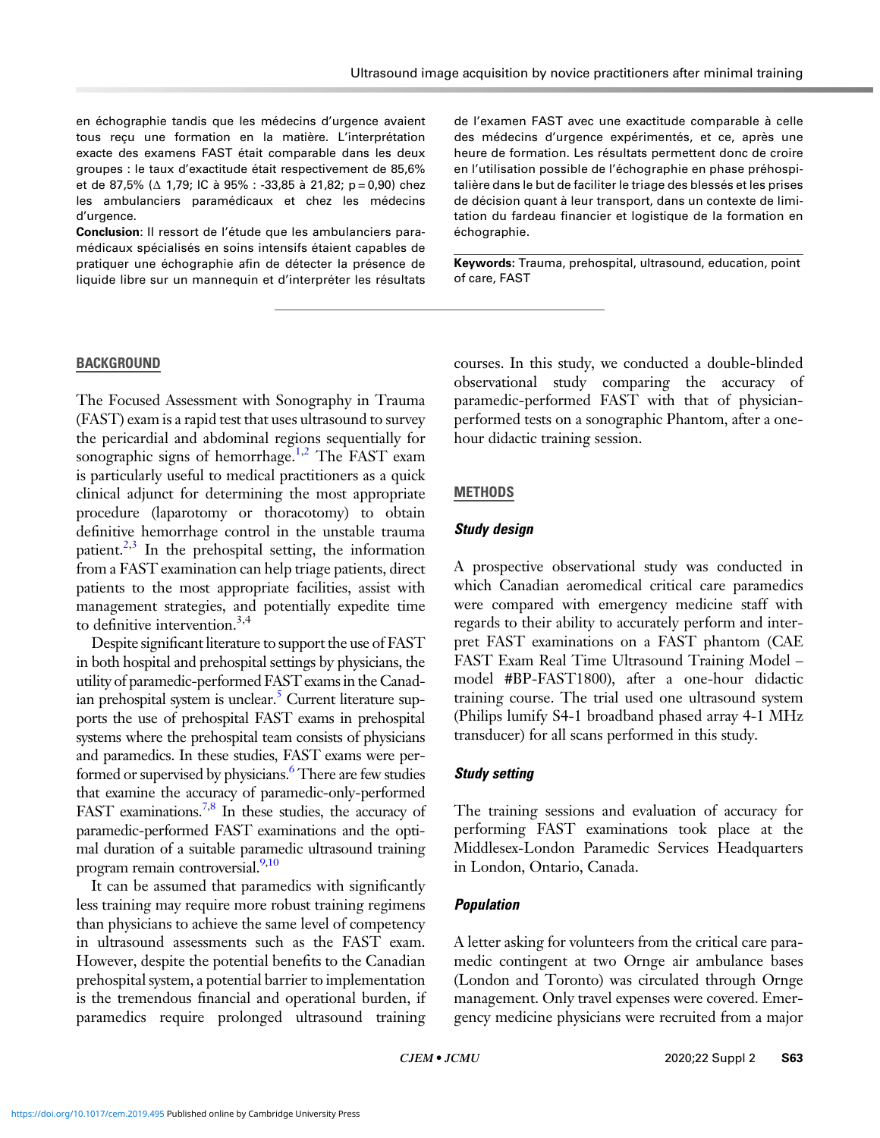en échographie tandis que les médecins d'urgence avaient tous reçu une formation en la matière. L'interprétation exacte des examens FAST était comparable dans les deux groupes : le taux d'exactitude était respectivement de 85,6% et de 87,5% (Δ 1,79; IC à 95% : -33,85 à 21,82; p = 0,90) chez les ambulanciers paramédicaux et chez les médecins d'urgence.

Conclusion: Il ressort de l'étude que les ambulanciers paramédicaux spécialisés en soins intensifs étaient capables de pratiquer une échographie afin de détecter la présence de liquide libre sur un mannequin et d'interpréter les résultats de l'examen FAST avec une exactitude comparable à celle des médecins d'urgence expérimentés, et ce, après une heure de formation. Les résultats permettent donc de croire en l'utilisation possible de l'échographie en phase préhospitalière dans le but de faciliter le triage des blessés et les prises de décision quant à leur transport, dans un contexte de limitation du fardeau financier et logistique de la formation en échographie.

Keywords: Trauma, prehospital, ultrasound, education, point of care, FAST

#### BACKGROUND

The Focused Assessment with Sonography in Trauma (FAST) exam is a rapid test that uses ultrasound to survey the pericardial and abdominal regions sequentially for sonographic signs of hemorrhage.<sup>[1,2](#page-3-0)</sup> The FAST exam is particularly useful to medical practitioners as a quick clinical adjunct for determining the most appropriate procedure (laparotomy or thoracotomy) to obtain definitive hemorrhage control in the unstable trauma patient.<sup>[2,3](#page-3-0)</sup> In the prehospital setting, the information from a FAST examination can help triage patients, direct patients to the most appropriate facilities, assist with management strategies, and potentially expedite time to definitive intervention.<sup>3,4</sup>

Despite significant literature to support the use of FAST in both hospital and prehospital settings by physicians, the utility of paramedic-performed FAST exams in the Canadian prehospital system is unclear.<sup>5</sup> Current literature supports the use of prehospital FAST exams in prehospital systems where the prehospital team consists of physicians and paramedics. In these studies, FAST exams were performed or supervised by physicians.<sup>6</sup> There are few studies that examine the accuracy of paramedic-only-performed FAST examinations.<sup>[7,8](#page-4-0)</sup> In these studies, the accuracy of paramedic-performed FAST examinations and the optimal duration of a suitable paramedic ultrasound training program remain controversial.<sup>[9,10](#page-4-0)</sup>

It can be assumed that paramedics with significantly less training may require more robust training regimens than physicians to achieve the same level of competency in ultrasound assessments such as the FAST exam. However, despite the potential benefits to the Canadian prehospital system, a potential barrier to implementation is the tremendous financial and operational burden, if paramedics require prolonged ultrasound training courses. In this study, we conducted a double-blinded observational study comparing the accuracy of paramedic-performed FAST with that of physicianperformed tests on a sonographic Phantom, after a onehour didactic training session.

#### **METHODS**

#### Study design

A prospective observational study was conducted in which Canadian aeromedical critical care paramedics were compared with emergency medicine staff with regards to their ability to accurately perform and interpret FAST examinations on a FAST phantom (CAE FAST Exam Real Time Ultrasound Training Model – model #BP-FAST1800), after a one-hour didactic training course. The trial used one ultrasound system (Philips lumify S4-1 broadband phased array 4-1 MHz transducer) for all scans performed in this study.

## Study setting

The training sessions and evaluation of accuracy for performing FAST examinations took place at the Middlesex-London Paramedic Services Headquarters in London, Ontario, Canada.

## Population

A letter asking for volunteers from the critical care paramedic contingent at two Ornge air ambulance bases (London and Toronto) was circulated through Ornge management. Only travel expenses were covered. Emergency medicine physicians were recruited from a major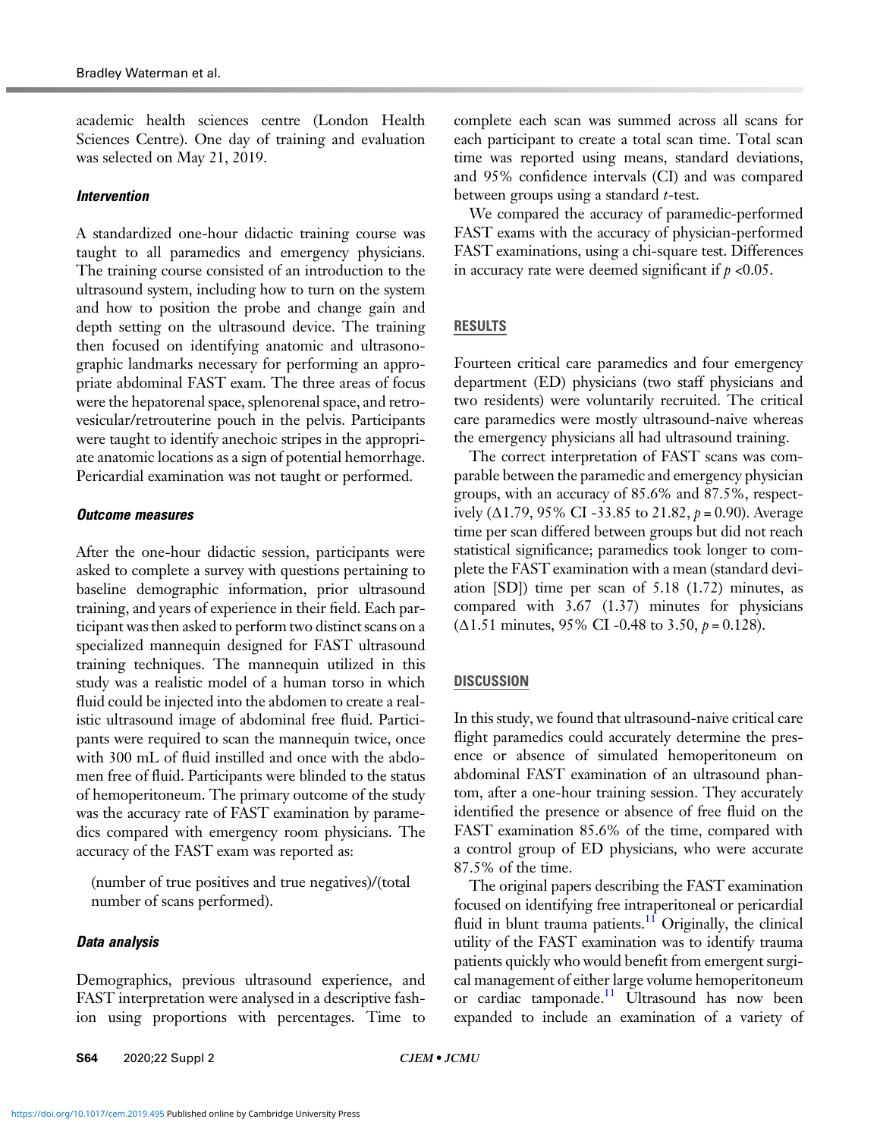academic health sciences centre (London Health Sciences Centre). One day of training and evaluation was selected on May 21, 2019.

## Intervention

A standardized one-hour didactic training course was taught to all paramedics and emergency physicians. The training course consisted of an introduction to the ultrasound system, including how to turn on the system and how to position the probe and change gain and depth setting on the ultrasound device. The training then focused on identifying anatomic and ultrasonographic landmarks necessary for performing an appropriate abdominal FAST exam. The three areas of focus were the hepatorenal space, splenorenal space, and retrovesicular/retrouterine pouch in the pelvis. Participants were taught to identify anechoic stripes in the appropriate anatomic locations as a sign of potential hemorrhage. Pericardial examination was not taught or performed.

## Outcome measures

After the one-hour didactic session, participants were asked to complete a survey with questions pertaining to baseline demographic information, prior ultrasound training, and years of experience in their field. Each participant was then asked to perform two distinct scans on a specialized mannequin designed for FAST ultrasound training techniques. The mannequin utilized in this study was a realistic model of a human torso in which fluid could be injected into the abdomen to create a realistic ultrasound image of abdominal free fluid. Participants were required to scan the mannequin twice, once with 300 mL of fluid instilled and once with the abdomen free of fluid. Participants were blinded to the status of hemoperitoneum. The primary outcome of the study was the accuracy rate of FAST examination by paramedics compared with emergency room physicians. The accuracy of the FAST exam was reported as:

(number of true positives and true negatives)/(total number of scans performed).

## Data analysis

Demographics, previous ultrasound experience, and FAST interpretation were analysed in a descriptive fashion using proportions with percentages. Time to

complete each scan was summed across all scans for each participant to create a total scan time. Total scan time was reported using means, standard deviations, and 95% confidence intervals (CI) and was compared between groups using a standard *t*-test.

We compared the accuracy of paramedic-performed FAST exams with the accuracy of physician-performed FAST examinations, using a chi-square test. Differences in accuracy rate were deemed significant if  $p < 0.05$ .

## RESULTS

Fourteen critical care paramedics and four emergency department (ED) physicians (two staff physicians and two residents) were voluntarily recruited. The critical care paramedics were mostly ultrasound-naive whereas the emergency physicians all had ultrasound training.

The correct interpretation of FAST scans was comparable between the paramedic and emergency physician groups, with an accuracy of 85.6% and 87.5%, respectively ( $\triangle$ 1.79, 95% CI -33.85 to 21.82,  $p = 0.90$ ). Average time per scan differed between groups but did not reach statistical significance; paramedics took longer to complete the FAST examination with a mean (standard deviation [SD]) time per scan of 5.18 (1.72) minutes, as compared with 3.67 (1.37) minutes for physicians  $(\Delta 1.51 \text{ minutes}, 95\% \text{ CI} -0.48 \text{ to } 3.50, p = 0.128).$ 

#### **DISCUSSION**

In this study, we found that ultrasound-naive critical care flight paramedics could accurately determine the presence or absence of simulated hemoperitoneum on abdominal FAST examination of an ultrasound phantom, after a one-hour training session. They accurately identified the presence or absence of free fluid on the FAST examination 85.6% of the time, compared with a control group of ED physicians, who were accurate 87.5% of the time.

The original papers describing the FAST examination focused on identifying free intraperitoneal or pericardial fluid in blunt trauma patients. $11$  Originally, the clinical utility of the FAST examination was to identify trauma patients quickly who would benefit from emergent surgical management of either large volume hemoperitoneum or cardiac tamponade.<sup>11</sup> Ultrasound has now been expanded to include an examination of a variety of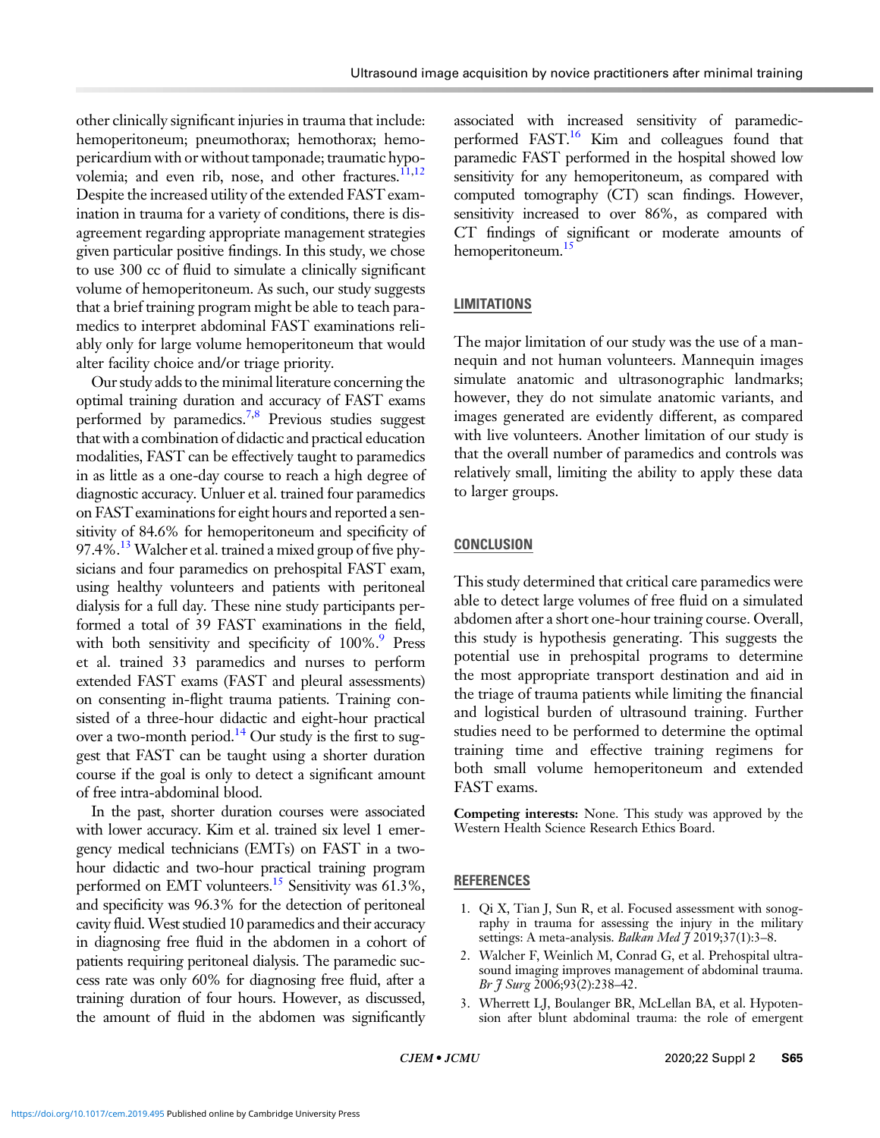<span id="page-3-0"></span>other clinically significant injuries in trauma that include: hemoperitoneum; pneumothorax; hemothorax; hemopericardium with or without tamponade; traumatic hypovolemia; and even rib, nose, and other fractures.<sup>11,12</sup> Despite the increased utility of the extended FAST examination in trauma for a variety of conditions, there is disagreement regarding appropriate management strategies given particular positive findings. In this study, we chose to use 300 cc of fluid to simulate a clinically significant volume of hemoperitoneum. As such, our study suggests that a brief training program might be able to teach paramedics to interpret abdominal FAST examinations reliably only for large volume hemoperitoneum that would alter facility choice and/or triage priority.

Our study adds to the minimal literature concerning the optimal training duration and accuracy of FAST exams performed by paramedics.<sup>7,[8](#page-4-0)</sup> Previous studies suggest that with a combination of didactic and practical education modalities, FAST can be effectively taught to paramedics in as little as a one-day course to reach a high degree of diagnostic accuracy. Unluer et al. trained four paramedics on FAST examinations for eight hours and reported a sensitivity of 84.6% for hemoperitoneum and specificity of 97.4%.<sup>13</sup> Walcher et al. trained a mixed group of five physicians and four paramedics on prehospital FAST exam, using healthy volunteers and patients with peritoneal dialysis for a full day. These nine study participants performed a total of 39 FAST examinations in the field, with both sensitivity and specificity of  $100\%$ . Press et al. trained 33 paramedics and nurses to perform extended FAST exams (FAST and pleural assessments) on consenting in-flight trauma patients. Training consisted of a three-hour didactic and eight-hour practical over a two-month period.<sup>14</sup> Our study is the first to suggest that FAST can be taught using a shorter duration course if the goal is only to detect a significant amount of free intra-abdominal blood.

In the past, shorter duration courses were associated with lower accuracy. Kim et al. trained six level 1 emergency medical technicians (EMTs) on FAST in a twohour didactic and two-hour practical training program performed on EMT volunteers.<sup>[15](#page-4-0)</sup> Sensitivity was  $61.3\%$ , and specificity was 96.3% for the detection of peritoneal cavity fluid. West studied 10 paramedics and their accuracy in diagnosing free fluid in the abdomen in a cohort of patients requiring peritoneal dialysis. The paramedic success rate was only 60% for diagnosing free fluid, after a training duration of four hours. However, as discussed, the amount of fluid in the abdomen was significantly associated with increased sensitivity of paramedicperformed FAST. $^{16}$  Kim and colleagues found that paramedic FAST performed in the hospital showed low sensitivity for any hemoperitoneum, as compared with computed tomography (CT) scan findings. However, sensitivity increased to over 86%, as compared with CT findings of significant or moderate amounts of hemoperitoneum.<sup>[15](#page-4-0)</sup>

# LIMITATIONS

The major limitation of our study was the use of a mannequin and not human volunteers. Mannequin images simulate anatomic and ultrasonographic landmarks; however, they do not simulate anatomic variants, and images generated are evidently different, as compared with live volunteers. Another limitation of our study is that the overall number of paramedics and controls was relatively small, limiting the ability to apply these data to larger groups.

# **CONCLUSION**

This study determined that critical care paramedics were able to detect large volumes of free fluid on a simulated abdomen after a short one-hour training course. Overall, this study is hypothesis generating. This suggests the potential use in prehospital programs to determine the most appropriate transport destination and aid in the triage of trauma patients while limiting the financial and logistical burden of ultrasound training. Further studies need to be performed to determine the optimal training time and effective training regimens for both small volume hemoperitoneum and extended FAST exams.

Competing interests: None. This study was approved by the Western Health Science Research Ethics Board.

## REFERENCES

- 1. Qi X, Tian J, Sun R, et al. Focused assessment with sonography in trauma for assessing the injury in the military settings: A meta-analysis. Balkan Med  $\widetilde{\mathcal{J}}$  2019;37(1):3-8.
- 2. Walcher F, Weinlich M, Conrad G, et al. Prehospital ultrasound imaging improves management of abdominal trauma. Br J Surg 2006;93(2):238–42.
- 3. Wherrett LJ, Boulanger BR, McLellan BA, et al. Hypotension after blunt abdominal trauma: the role of emergent